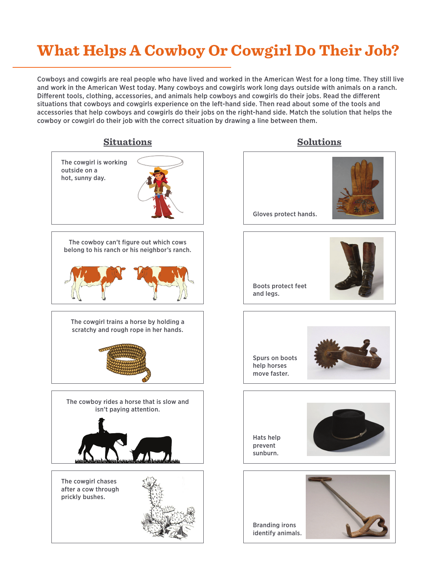## **What Helps A Cowboy Or Cowgirl Do Their Job?**

Cowboys and cowgirls are real people who have lived and worked in the American West for a long time. They still live and work in the American West today. Many cowboys and cowgirls work long days outside with animals on a ranch. Different tools, clothing, accessories, and animals help cowboys and cowgirls do their jobs. Read the different situations that cowboys and cowgirls experience on the left-hand side. Then read about some of the tools and accessories that help cowboys and cowgirls do their jobs on the right-hand side. Match the solution that helps the cowboy or cowgirl do their job with the correct situation by drawing a line between them.